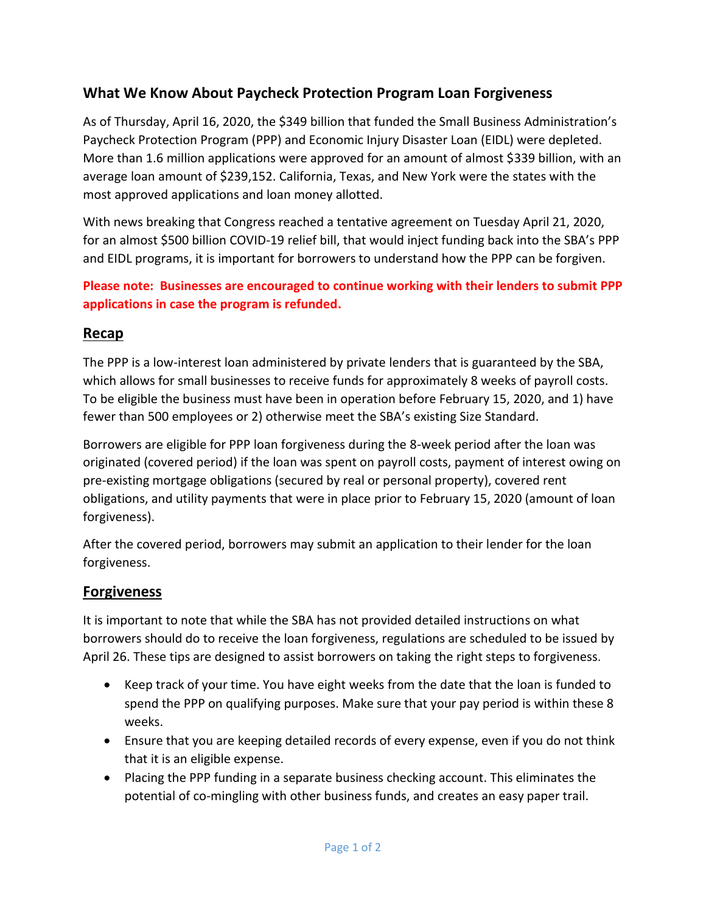# **What We Know About Paycheck Protection Program Loan Forgiveness**

As of Thursday, April 16, 2020, the \$349 billion that funded the Small Business Administration's Paycheck Protection Program (PPP) and Economic Injury Disaster Loan (EIDL) were depleted. More than 1.6 million applications were approved for an amount of almost \$339 billion, with an average loan amount of \$239,152. California, Texas, and New York were the states with the most approved applications and loan money allotted.

With news breaking that Congress reached a tentative agreement on Tuesday April 21, 2020, for an almost \$500 billion COVID-19 relief bill, that would inject funding back into the SBA's PPP and EIDL programs, it is important for borrowers to understand how the PPP can be forgiven.

#### **Please note: Businesses are encouraged to continue working with their lenders to submit PPP applications in case the program is refunded.**

#### **Recap**

The PPP is a low-interest loan administered by private lenders that is guaranteed by the SBA, which allows for small businesses to receive funds for approximately 8 weeks of payroll costs. To be eligible the business must have been in operation before February 15, 2020, and 1) have fewer than 500 employees or 2) otherwise meet the SBA's existing Size Standard.

Borrowers are eligible for PPP loan forgiveness during the 8-week period after the loan was originated (covered period) if the loan was spent on payroll costs, payment of interest owing on pre-existing mortgage obligations (secured by real or personal property), covered rent obligations, and utility payments that were in place prior to February 15, 2020 (amount of loan forgiveness).

After the covered period, borrowers may submit an application to their lender for the loan forgiveness.

### **Forgiveness**

It is important to note that while the SBA has not provided detailed instructions on what borrowers should do to receive the loan forgiveness, regulations are scheduled to be issued by April 26. These tips are designed to assist borrowers on taking the right steps to forgiveness.

- Keep track of your time. You have eight weeks from the date that the loan is funded to spend the PPP on qualifying purposes. Make sure that your pay period is within these 8 weeks.
- Ensure that you are keeping detailed records of every expense, even if you do not think that it is an eligible expense.
- Placing the PPP funding in a separate business checking account. This eliminates the potential of co-mingling with other business funds, and creates an easy paper trail.